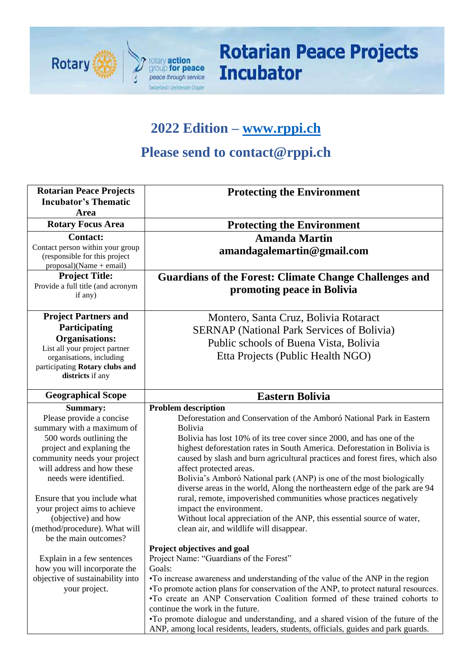

# **Rotarian Peace Projects Incubator**

### **2022 Edition – [www.rppi.ch](http://www.rppi.ch/)**

### **Please send to contact@rppi.ch**

| <b>Rotarian Peace Projects</b>                                    | <b>Protecting the Environment</b>                                                                                                                  |
|-------------------------------------------------------------------|----------------------------------------------------------------------------------------------------------------------------------------------------|
| <b>Incubator's Thematic</b><br>Area                               |                                                                                                                                                    |
| <b>Rotary Focus Area</b>                                          | <b>Protecting the Environment</b>                                                                                                                  |
| <b>Contact:</b>                                                   | <b>Amanda Martin</b>                                                                                                                               |
| Contact person within your group<br>(responsible for this project | amandagalemartin@gmail.com                                                                                                                         |
| $proposal)(Name + email)$                                         |                                                                                                                                                    |
| <b>Project Title:</b>                                             | <b>Guardians of the Forest: Climate Change Challenges and</b>                                                                                      |
| Provide a full title (and acronym<br>if any)                      | promoting peace in Bolivia                                                                                                                         |
| <b>Project Partners and</b>                                       | Montero, Santa Cruz, Bolivia Rotaract                                                                                                              |
| Participating                                                     | <b>SERNAP</b> (National Park Services of Bolivia)                                                                                                  |
| <b>Organisations:</b>                                             | Public schools of Buena Vista, Bolivia                                                                                                             |
| List all your project partner<br>organisations, including         | Etta Projects (Public Health NGO)                                                                                                                  |
| participating Rotary clubs and                                    |                                                                                                                                                    |
| districts if any                                                  |                                                                                                                                                    |
| <b>Geographical Scope</b>                                         | <b>Eastern Bolivia</b>                                                                                                                             |
| <b>Summary:</b>                                                   | <b>Problem description</b>                                                                                                                         |
| Please provide a concise                                          | Deforestation and Conservation of the Amboró National Park in Eastern                                                                              |
| summary with a maximum of                                         | Bolivia                                                                                                                                            |
| 500 words outlining the<br>project and explaning the              | Bolivia has lost 10% of its tree cover since 2000, and has one of the<br>highest deforestation rates in South America. Deforestation in Bolivia is |
| community needs your project                                      | caused by slash and burn agricultural practices and forest fires, which also                                                                       |
| will address and how these                                        | affect protected areas.                                                                                                                            |
| needs were identified.                                            | Bolivia's Amboró National park (ANP) is one of the most biologically                                                                               |
|                                                                   | diverse areas in the world, Along the northeastern edge of the park are 94                                                                         |
| Ensure that you include what                                      | rural, remote, impoverished communities whose practices negatively                                                                                 |
| your project aims to achieve                                      | impact the environment.                                                                                                                            |
| (objective) and how                                               | Without local appreciation of the ANP, this essential source of water,                                                                             |
| (method/procedure). What will                                     | clean air, and wildlife will disappear.                                                                                                            |
| be the main outcomes?                                             |                                                                                                                                                    |
|                                                                   | Project objectives and goal                                                                                                                        |
| Explain in a few sentences                                        | Project Name: "Guardians of the Forest"                                                                                                            |
| how you will incorporate the<br>objective of sustainability into  | Goals:<br>•To increase awareness and understanding of the value of the ANP in the region                                                           |
| your project.                                                     | •To promote action plans for conservation of the ANP, to protect natural resources.                                                                |
|                                                                   |                                                                                                                                                    |
|                                                                   |                                                                                                                                                    |
|                                                                   | •To create an ANP Conservation Coalition formed of these trained cohorts to                                                                        |
|                                                                   | continue the work in the future.<br>•To promote dialogue and understanding, and a shared vision of the future of the                               |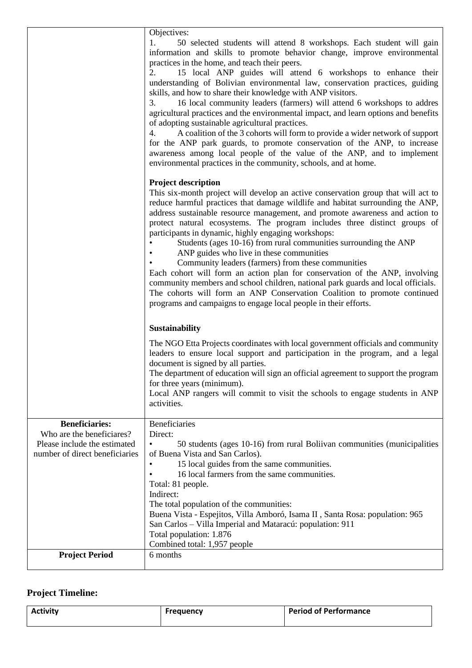|                                                                                                                      | Objectives:                                                                                                                                                                                                                                                                                                                                                                                                                                                                                                                                                                                                                                                                                                                                                                                                                                                                                                                                                           |
|----------------------------------------------------------------------------------------------------------------------|-----------------------------------------------------------------------------------------------------------------------------------------------------------------------------------------------------------------------------------------------------------------------------------------------------------------------------------------------------------------------------------------------------------------------------------------------------------------------------------------------------------------------------------------------------------------------------------------------------------------------------------------------------------------------------------------------------------------------------------------------------------------------------------------------------------------------------------------------------------------------------------------------------------------------------------------------------------------------|
|                                                                                                                      | 1.<br>50 selected students will attend 8 workshops. Each student will gain<br>information and skills to promote behavior change, improve environmental<br>practices in the home, and teach their peers.<br>2.<br>15 local ANP guides will attend 6 workshops to enhance their<br>understanding of Bolivian environmental law, conservation practices, guiding<br>skills, and how to share their knowledge with ANP visitors.<br>16 local community leaders (farmers) will attend 6 workshops to addres<br>3.<br>agricultural practices and the environmental impact, and learn options and benefits<br>of adopting sustainable agricultural practices.<br>4.<br>A coalition of the 3 cohorts will form to provide a wider network of support<br>for the ANP park guards, to promote conservation of the ANP, to increase<br>awareness among local people of the value of the ANP, and to implement<br>environmental practices in the community, schools, and at home. |
|                                                                                                                      | <b>Project description</b><br>This six-month project will develop an active conservation group that will act to<br>reduce harmful practices that damage wildlife and habitat surrounding the ANP,<br>address sustainable resource management, and promote awareness and action to<br>protect natural ecosystems. The program includes three distinct groups of<br>participants in dynamic, highly engaging workshops:<br>Students (ages 10-16) from rural communities surrounding the ANP<br>ANP guides who live in these communities<br>Community leaders (farmers) from these communities<br>Each cohort will form an action plan for conservation of the ANP, involving<br>community members and school children, national park guards and local officials.<br>The cohorts will form an ANP Conservation Coalition to promote continued<br>programs and campaigns to engage local people in their efforts.                                                         |
|                                                                                                                      | <b>Sustainability</b><br>The NGO Etta Projects coordinates with local government officials and community<br>leaders to ensure local support and participation in the program, and a legal<br>document is signed by all parties.<br>The department of education will sign an official agreement to support the program<br>for three years (minimum).<br>Local ANP rangers will commit to visit the schools to engage students in ANP<br>activities.                                                                                                                                                                                                                                                                                                                                                                                                                                                                                                                    |
| <b>Beneficiaries:</b><br>Who are the beneficiares?<br>Please include the estimated<br>number of direct beneficiaries | <b>Beneficiaries</b><br>Direct:<br>50 students (ages 10-16) from rural Boliivan communities (municipalities<br>of Buena Vista and San Carlos).<br>15 local guides from the same communities.<br>16 local farmers from the same communities.<br>Total: 81 people.<br>Indirect:<br>The total population of the communities:<br>Buena Vista - Espejitos, Villa Amboró, Isama II, Santa Rosa: population: 965<br>San Carlos – Villa Imperial and Mataracú: population: 911<br>Total population: 1.876<br>Combined total: 1,957 people                                                                                                                                                                                                                                                                                                                                                                                                                                     |
| <b>Project Period</b>                                                                                                | 6 months                                                                                                                                                                                                                                                                                                                                                                                                                                                                                                                                                                                                                                                                                                                                                                                                                                                                                                                                                              |

#### **Project Timeline:**

| <b>Activity</b> | <b>Frequency</b> | <b>Period of Performance</b> |
|-----------------|------------------|------------------------------|
|                 |                  |                              |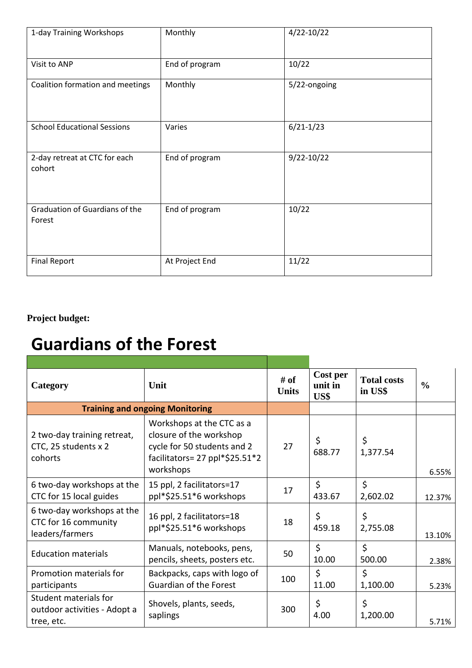| 1-day Training Workshops                 | Monthly        | $4/22 - 10/22$ |
|------------------------------------------|----------------|----------------|
| Visit to ANP                             | End of program | 10/22          |
| Coalition formation and meetings         | Monthly        | 5/22-ongoing   |
| <b>School Educational Sessions</b>       | Varies         | $6/21 - 1/23$  |
| 2-day retreat at CTC for each<br>cohort  | End of program | $9/22 - 10/22$ |
| Graduation of Guardians of the<br>Forest | End of program | 10/22          |
| <b>Final Report</b>                      | At Project End | 11/22          |

**Project budget:** 

## **Guardians of the Forest**

| Category                                                              | Unit                                                                                                                               | # of<br><b>Units</b> | Cost per<br>unit in<br>US\$ | <b>Total costs</b><br>in US\$ | $\frac{6}{6}$ |
|-----------------------------------------------------------------------|------------------------------------------------------------------------------------------------------------------------------------|----------------------|-----------------------------|-------------------------------|---------------|
|                                                                       | <b>Training and ongoing Monitoring</b>                                                                                             |                      |                             |                               |               |
| 2 two-day training retreat,<br>CTC, 25 students x 2<br>cohorts        | Workshops at the CTC as a<br>closure of the workshop<br>cycle for 50 students and 2<br>facilitators= 27 ppl*\$25.51*2<br>workshops | 27                   | \$<br>688.77                | \$<br>1,377.54                | 6.55%         |
| 6 two-day workshops at the<br>CTC for 15 local guides                 | 15 ppl, 2 facilitators=17<br>ppl*\$25.51*6 workshops                                                                               | 17                   | $\zeta$<br>433.67           | $\zeta$<br>2,602.02           | 12.37%        |
| 6 two-day workshops at the<br>CTC for 16 community<br>leaders/farmers | 16 ppl, 2 facilitators=18<br>ppl*\$25.51*6 workshops                                                                               | 18                   | \$<br>459.18                | \$<br>2,755.08                | 13.10%        |
| <b>Education materials</b>                                            | Manuals, notebooks, pens,<br>pencils, sheets, posters etc.                                                                         | 50                   | \$<br>10.00                 | $\zeta$<br>500.00             | 2.38%         |
| Promotion materials for<br>participants                               | Backpacks, caps with logo of<br>Guardian of the Forest                                                                             | 100                  | \$<br>11.00                 | $\zeta$<br>1,100.00           | 5.23%         |
| Student materials for<br>outdoor activities - Adopt a<br>tree, etc.   | Shovels, plants, seeds,<br>saplings                                                                                                | 300                  | \$<br>4.00                  | \$<br>1,200.00                | 5.71%         |